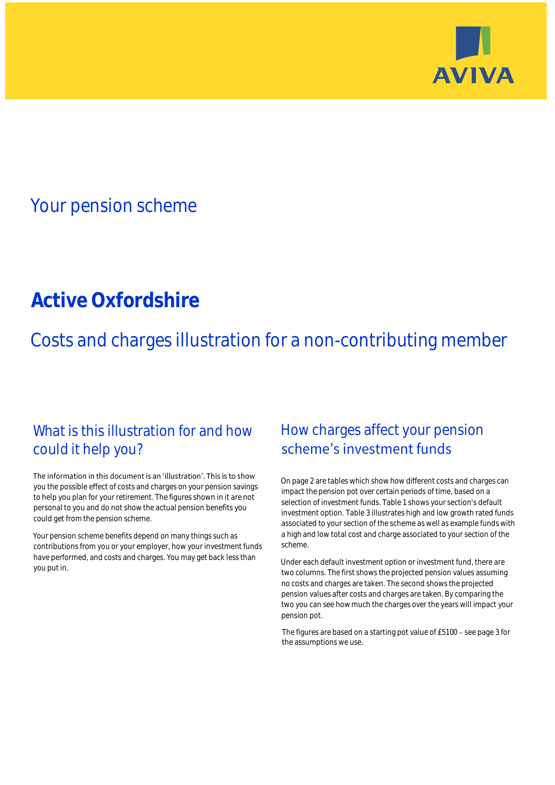

# Your pension scheme

# **Active Oxfordshire**

Costs and charges illustration for a non-contributing member

## What is this illustration for and how could it help you?

#### The information in this document is an 'illustration'. This is to show you the possible effect of costs and charges on your pension savings to help you plan for your retirement. The figures shown in it are not personal to you and do not show the actual pension benefits you could get from the pension scheme.

Your pension scheme benefits depend on many things such as contributions from you or your employer, how your investment funds have performed, and costs and charges. You may get back less than you put in.

# How charges affect your pension scheme's investment funds

On page 2 are tables which show how different costs and charges can impact the pension pot over certain periods of time, based on a selection of investment funds. Table 1 shows your section's default investment option. Table 3 illustrates high and low growth rated funds associated to your section of the scheme as well as example funds with a high and low total cost and charge associated to your section of the scheme.

Under each default investment option or investment fund, there are two columns. The first shows the projected pension values assuming no costs and charges are taken. The second shows the projected pension values after costs and charges are taken. By comparing the two you can see how much the charges over the years will impact your pension pot.

The figures are based on a starting pot value of  $£5100 -$  see page 3 for the assumptions we use.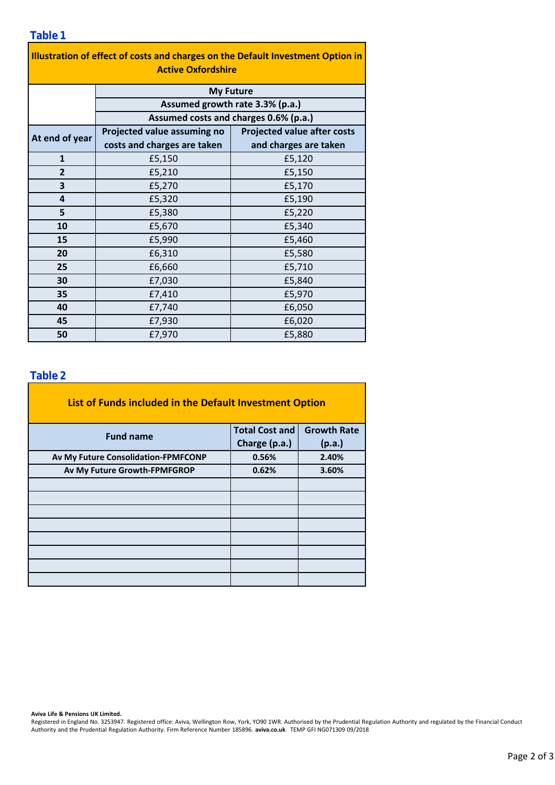| Illustration of effect of costs and charges on the Default Investment Option in<br><b>Active Oxfordshire</b> |                                                                          |                                    |  |  |  |  |
|--------------------------------------------------------------------------------------------------------------|--------------------------------------------------------------------------|------------------------------------|--|--|--|--|
|                                                                                                              | <b>My Future</b>                                                         |                                    |  |  |  |  |
|                                                                                                              | Assumed growth rate 3.3% (p.a.)<br>Assumed costs and charges 0.6% (p.a.) |                                    |  |  |  |  |
|                                                                                                              |                                                                          |                                    |  |  |  |  |
| At end of year                                                                                               | Projected value assuming no                                              | <b>Projected value after costs</b> |  |  |  |  |
|                                                                                                              | costs and charges are taken                                              | and charges are taken              |  |  |  |  |
| $\mathbf{1}$                                                                                                 | £5,150                                                                   | £5,120                             |  |  |  |  |
| $\overline{2}$                                                                                               | £5,210                                                                   | £5,150                             |  |  |  |  |
| 3                                                                                                            | £5,270                                                                   | £5,170                             |  |  |  |  |
| 4                                                                                                            | £5,320                                                                   | £5,190                             |  |  |  |  |
| 5                                                                                                            | £5,380                                                                   | £5,220                             |  |  |  |  |
| 10                                                                                                           | £5,670                                                                   | £5,340                             |  |  |  |  |
| 15                                                                                                           | £5,990                                                                   | £5,460                             |  |  |  |  |
| 20                                                                                                           | £6,310                                                                   | £5,580                             |  |  |  |  |
| 25                                                                                                           | £6,660                                                                   | £5,710                             |  |  |  |  |
| 30                                                                                                           | £7,030                                                                   | £5,840                             |  |  |  |  |

£7,410 £7,740 £7,930 £7,970

### **Table 2**

**35**

**40 45 50**

| List of Funds included in the Default Investment Option |                       |                    |
|---------------------------------------------------------|-----------------------|--------------------|
| <b>Fund name</b>                                        | <b>Total Cost and</b> | <b>Growth Rate</b> |
|                                                         | Charge (p.a.)         | (p.a.)             |
| Av My Future Consolidation-FPMFCONP                     | 0.56%                 | 2.40%              |
| Av My Future Growth-FPMFGROP                            | 0.62%                 | 3.60%              |
|                                                         |                       |                    |
|                                                         |                       |                    |
|                                                         |                       |                    |
|                                                         |                       |                    |
|                                                         |                       |                    |
|                                                         |                       |                    |
|                                                         |                       |                    |
|                                                         |                       |                    |

#### **Aviva Life & Pensions UK Limited.**

Registered in England No. 3253947. Registered office: Aviva, Wellington Row, York, YO90 1WR. Authorised by the Prudential Regulation Authority and regulated by the Financial Conduct Authority and the Prudential Regulation Authority. Firm Reference Number 185896. **aviva.co.uk** TEMP GFI NG071309 09/2018

£5,970

£6,050 £6,020 £5,880